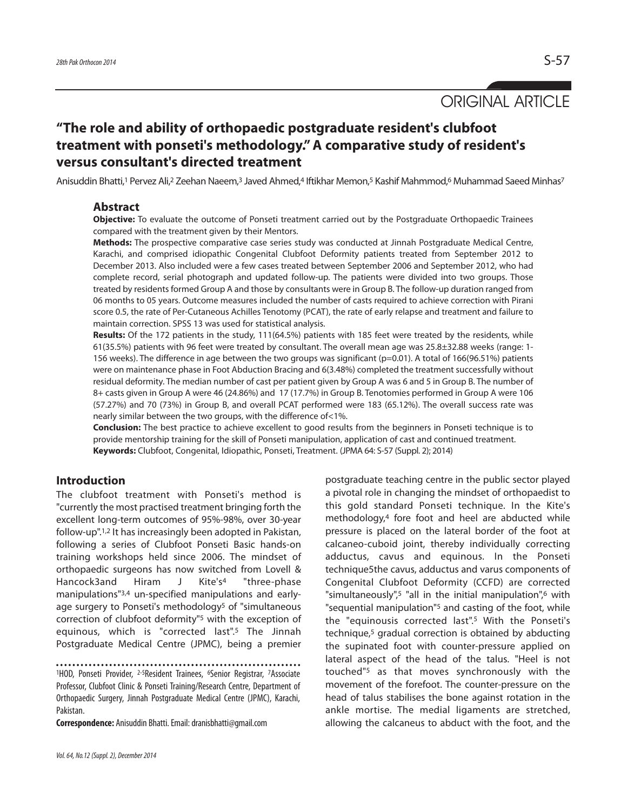ORIGINAL ARTICLE

# **"The role and ability of orthopaedic postgraduate resident's clubfoot treatment with ponseti's methodology." A comparative study of resident's versus consultant's directed treatment**

Anisuddin Bhatti,<sup>1</sup> Pervez Ali,<sup>2</sup> Zeehan Naeem,<sup>3</sup> Javed Ahmed,<sup>4</sup> Iftikhar Memon,<sup>5</sup> Kashif Mahmmod,<sup>6</sup> Muhammad Saeed Minhas<sup>7</sup>

# **Abstract**

**Objective:** To evaluate the outcome of Ponseti treatment carried out by the Postgraduate Orthopaedic Trainees compared with the treatment given by their Mentors.

**Methods:** The prospective comparative case series study was conducted at Jinnah Postgraduate Medical Centre, Karachi, and comprised idiopathic Congenital Clubfoot Deformity patients treated from September 2012 to December 2013. Also included were a few cases treated between September 2006 and September 2012, who had complete record, serial photograph and updated follow-up. The patients were divided into two groups. Those treated by residents formed Group A and those by consultants were in Group B. The follow-up duration ranged from 06 months to 05 years. Outcome measures included the number of casts required to achieve correction with Pirani score 0.5, the rate of Per-Cutaneous Achilles Tenotomy (PCAT), the rate of early relapse and treatment and failure to maintain correction. SPSS 13 was used for statistical analysis.

**Results:** Of the 172 patients in the study, 111(64.5%) patients with 185 feet were treated by the residents, while 61(35.5%) patients with 96 feet were treated by consultant. The overall mean age was 25.8±32.88 weeks (range: 1- 156 weeks). The difference in age between the two groups was significant (p=0.01). A total of 166(96.51%) patients were on maintenance phase in Foot Abduction Bracing and 6(3.48%) completed the treatment successfully without residual deformity. The median number of cast per patient given by Group A was 6 and 5 in Group B. The number of 8+ casts given in Group A were 46 (24.86%) and 17 (17.7%) in Group B. Tenotomies performed in Group A were 106 (57.27%) and 70 (73%) in Group B, and overall PCAT performed were 183 (65.12%). The overall success rate was nearly similar between the two groups, with the difference of<1%.

**Conclusion:** The best practice to achieve excellent to good results from the beginners in Ponseti technique is to provide mentorship training for the skill of Ponseti manipulation, application of cast and continued treatment. **Keywords:** Clubfoot, Congenital, Idiopathic, Ponseti, Treatment. (JPMA 64: S-57 (Suppl. 2); 2014)

# **Introduction**

The clubfoot treatment with Ponseti's method is "currently the most practised treatment bringing forth the excellent long-term outcomes of 95%-98%, over 30-year follow-up".1,2 It has increasingly been adopted in Pakistan, following a series of Clubfoot Ponseti Basic hands-on training workshops held since 2006. The mindset of orthopaedic surgeons has now switched from Lovell & Hancock3and Hiram J Kite's<sup>4</sup> "three-phase manipulations"3,4 un-specified manipulations and earlyage surgery to Ponseti's methodology<sup>5</sup> of "simultaneous correction of clubfoot deformity"<sup>5</sup> with the exception of equinous, which is "corrected last".<sup>5</sup> The Jinnah Postgraduate Medical Centre (JPMC), being a premier

<sup>1</sup>HOD, Ponseti Provider, <sup>2-5</sup>Resident Trainees, <sup>6</sup>Senior Registrar, <sup>7</sup>Associate Professor, Clubfoot Clinic & Ponseti Training/Research Centre, Department of Orthopaedic Surgery, Jinnah Postgraduate Medical Centre (JPMC), Karachi, Pakistan.

**Correspondence:** Anisuddin Bhatti. Email: dranisbhatti@gmail.com

a pivotal role in changing the mindset of orthopaedist to this gold standard Ponseti technique. In the Kite's methodology,<sup>4</sup> fore foot and heel are abducted while pressure is placed on the lateral border of the foot at calcaneo-cuboid joint, thereby individually correcting adductus, cavus and equinous. In the Ponseti technique5the cavus, adductus and varus components of Congenital Clubfoot Deformity (CCFD) are corrected "simultaneously",<sup>5</sup> "all in the initial manipulation",<sup>6</sup> with "sequential manipulation"<sup>5</sup> and casting of the foot, while the "equinousis corrected last".<sup>5</sup> With the Ponseti's technique,<sup>5</sup> gradual correction is obtained by abducting the supinated foot with counter-pressure applied on lateral aspect of the head of the talus. "Heel is not touched"<sup>5</sup> as that moves synchronously with the movement of the forefoot. The counter-pressure on the head of talus stabilises the bone against rotation in the ankle mortise. The medial ligaments are stretched, allowing the calcaneus to abduct with the foot, and the

postgraduate teaching centre in the public sector played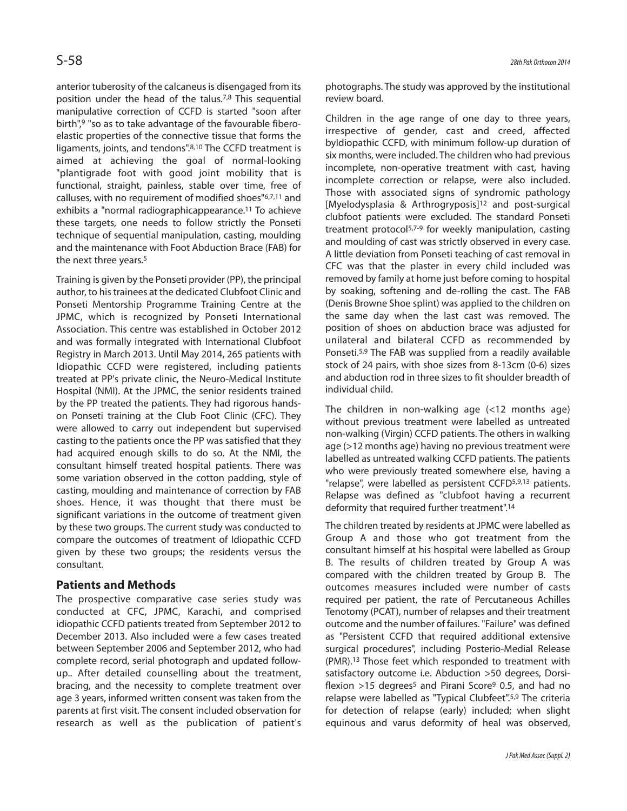anterior tuberosity of the calcaneus is disengaged from its position under the head of the talus.7,8 This sequential manipulative correction of CCFD is started "soon after birth",<sup>9</sup> "so as to take advantage of the favourable fiberoelastic properties of the connective tissue that forms the ligaments, joints, and tendons".8,10 The CCFD treatment is aimed at achieving the goal of normal-looking "plantigrade foot with good joint mobility that is functional, straight, painless, stable over time, free of calluses, with no requirement of modified shoes"6,7,11 and exhibits a "normal radiographicappearance.<sup>11</sup> To achieve these targets, one needs to follow strictly the Ponseti technique of sequential manipulation, casting, moulding and the maintenance with Foot Abduction Brace (FAB) for the next three years.<sup>5</sup>

Training is given by the Ponseti provider (PP), the principal author, to his trainees at the dedicated Clubfoot Clinic and Ponseti Mentorship Programme Training Centre at the JPMC, which is recognized by Ponseti International Association. This centre was established in October 2012 and was formally integrated with International Clubfoot Registry in March 2013. Until May 2014, 265 patients with Idiopathic CCFD were registered, including patients treated at PP's private clinic, the Neuro-Medical Institute Hospital (NMI). At the JPMC, the senior residents trained by the PP treated the patients. They had rigorous handson Ponseti training at the Club Foot Clinic (CFC). They were allowed to carry out independent but supervised casting to the patients once the PP was satisfied that they had acquired enough skills to do so. At the NMI, the consultant himself treated hospital patients. There was some variation observed in the cotton padding, style of casting, moulding and maintenance of correction by FAB shoes. Hence, it was thought that there must be significant variations in the outcome of treatment given by these two groups. The current study was conducted to compare the outcomes of treatment of Idiopathic CCFD given by these two groups; the residents versus the consultant.

# **Patients and Methods**

The prospective comparative case series study was conducted at CFC, JPMC, Karachi, and comprised idiopathic CCFD patients treated from September 2012 to December 2013. Also included were a few cases treated between September 2006 and September 2012, who had complete record, serial photograph and updated followup.. After detailed counselling about the treatment, bracing, and the necessity to complete treatment over age 3 years, informed written consent was taken from the parents at first visit. The consent included observation for research as well as the publication of patient's photographs. The study was approved by the institutional review board.

Children in the age range of one day to three years, irrespective of gender, cast and creed, affected byIdiopathic CCFD, with minimum follow-up duration of six months, were included. The children who had previous incomplete, non-operative treatment with cast, having incomplete correction or relapse, were also included. Those with associated signs of syndromic pathology [Myelodysplasia & Arthrogryposis]<sup>12</sup> and post-surgical clubfoot patients were excluded. The standard Ponseti treatment protocol5,7-9 for weekly manipulation, casting and moulding of cast was strictly observed in every case. A little deviation from Ponseti teaching of cast removal in CFC was that the plaster in every child included was removed by family at home just before coming to hospital by soaking, softening and de-rolling the cast. The FAB (Denis Browne Shoe splint) was applied to the children on the same day when the last cast was removed. The position of shoes on abduction brace was adjusted for unilateral and bilateral CCFD as recommended by Ponseti.5,9 The FAB was supplied from a readily available stock of 24 pairs, with shoe sizes from 8-13cm (0-6) sizes and abduction rod in three sizes to fit shoulder breadth of individual child.

The children in non-walking age (<12 months age) without previous treatment were labelled as untreated non-walking (Virgin) CCFD patients. The others in walking age (>12 months age) having no previous treatment were labelled as untreated walking CCFD patients. The patients who were previously treated somewhere else, having a "relapse", were labelled as persistent CCFD5,9,13 patients. Relapse was defined as "clubfoot having a recurrent deformity that required further treatment".<sup>14</sup>

The children treated by residents at JPMC were labelled as Group A and those who got treatment from the consultant himself at his hospital were labelled as Group B. The results of children treated by Group A was compared with the children treated by Group B. The outcomes measures included were number of casts required per patient, the rate of Percutaneous Achilles Tenotomy (PCAT), number of relapses and their treatment outcome and the number of failures. "Failure" was defined as "Persistent CCFD that required additional extensive surgical procedures", including Posterio-Medial Release (PMR).<sup>13</sup> Those feet which responded to treatment with satisfactory outcome i.e. Abduction >50 degrees, Dorsiflexion  $>15$  degrees<sup>5</sup> and Pirani Score<sup>9</sup> 0.5, and had no relapse were labelled as "Typical Clubfeet".<sup>5,9</sup> The criteria for detection of relapse (early) included; when slight equinous and varus deformity of heal was observed,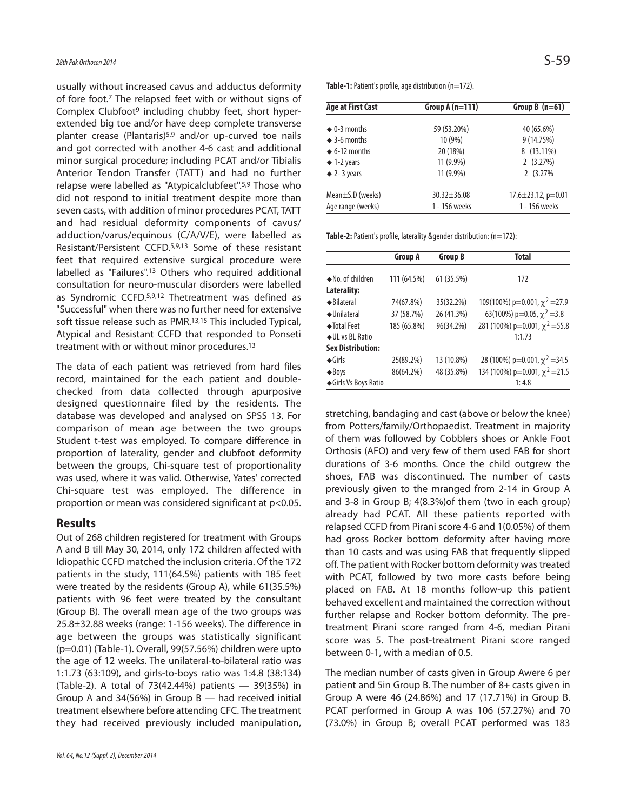usually without increased cavus and adductus deformity of fore foot.<sup>7</sup> The relapsed feet with or without signs of Complex Clubfoot<sup>9</sup> including chubby feet, short hyperextended big toe and/or have deep complete transverse planter crease (Plantaris)<sup>5,9</sup> and/or up-curved toe nails and got corrected with another 4-6 cast and additional minor surgical procedure; including PCAT and/or Tibialis Anterior Tendon Transfer (TATT) and had no further relapse were labelled as "Atypicalclubfeet''.5,9 Those who did not respond to initial treatment despite more than seven casts, with addition of minor procedures PCAT, TATT and had residual deformity components of cavus/ adduction/varus/equinous (C/A/V/E), were labelled as Resistant/Persistent CCFD.5,9,13 Some of these resistant feet that required extensive surgical procedure were labelled as "Failures".<sup>13</sup> Others who required additional consultation for neuro-muscular disorders were labelled as Syndromic CCFD.5,9,12 Thetreatment was defined as "Successful" when there was no further need for extensive soft tissue release such as PMR.13,15 This included Typical, Atypical and Resistant CCFD that responded to Ponseti treatment with or without minor procedures.<sup>13</sup>

The data of each patient was retrieved from hard files record, maintained for the each patient and doublechecked from data collected through apurposive designed questionnaire filed by the residents. The database was developed and analysed on SPSS 13. For comparison of mean age between the two groups Student t-test was employed. To compare difference in proportion of laterality, gender and clubfoot deformity between the groups, Chi-square test of proportionality was used, where it was valid. Otherwise, Yates' corrected Chi-square test was employed. The difference in proportion or mean was considered significant at p<0.05.

### **Results**

Out of 268 children registered for treatment with Groups A and B till May 30, 2014, only 172 children affected with Idiopathic CCFD matched the inclusion criteria. Of the 172 patients in the study, 111(64.5%) patients with 185 feet were treated by the residents (Group A), while 61(35.5%) patients with 96 feet were treated by the consultant (Group B). The overall mean age of the two groups was 25.8±32.88 weeks (range: 1-156 weeks). The difference in age between the groups was statistically significant (p=0.01) (Table-1). Overall, 99(57.56%) children were upto the age of 12 weeks. The unilateral-to-bilateral ratio was 1:1.73 (63:109), and girls-to-boys ratio was 1:4.8 (38:134) (Table-2). A total of 73(42.44%) patients — 39(35%) in Group A and 34(56%) in Group B — had received initial treatment elsewhere before attending CFC. The treatment they had received previously included manipulation, Table-1: Patient's profile, age distribution (n=172).

| <b>Age at First Cast</b> | Group A $(n=111)$ | Group B $(n=61)$          |  |
|--------------------------|-------------------|---------------------------|--|
| $\triangle$ 0-3 months   | 59 (53.20%)       | 40 (65.6%)                |  |
| $\triangle$ 3-6 months   | 10 (9%)           | 9 (14.75%)                |  |
| $\triangle$ 6-12 months  | 20 (18%)          | 8 (13.11%)                |  |
| $\triangle$ 1-2 years    | $11(9.9\%)$       | 2(3.27%)                  |  |
| $\triangle$ 2-3 years    | $11(9.9\%)$       | 2 (3.27%)                 |  |
| $Mean \pm S.D$ (weeks)   | $30.32 \pm 36.08$ | $17.6 \pm 23.12$ , p=0.01 |  |
| Age range (weeks)        | 1 - 156 weeks     | 1 - 156 weeks             |  |

Table-2: Patient's profile, laterality &gender distribution: (n=172):

|                           | <b>Group A</b> | <b>Group B</b> | <b>Total</b>                        |  |
|---------------------------|----------------|----------------|-------------------------------------|--|
| $\bullet$ No. of children | 111 (64.5%)    | 61 (35.5%)     | 172                                 |  |
| Laterality:               |                |                |                                     |  |
| $\triangle$ Bilateral     | 74(67.8%)      | 35(32.2%)      | 109(100%) p=0.001, $\chi^2$ =27.9   |  |
| $\triangle$ Unilateral    | 37 (58.7%)     | 26 (41.3%)     | 63(100%) p=0.05, $\chi^2$ =3.8      |  |
| $\triangle$ Total Feet    | 185 (65.8%)    | 96(34.2%)      | 281 (100%) p=0.001, $\chi^2$ =55.8  |  |
| ◆ UL vs BL Ratio          |                |                | 1:1.73                              |  |
| <b>Sex Distribution:</b>  |                |                |                                     |  |
| $\triangle$ Girls         | 25(89.2%)      | 13 (10.8%)     | 28 (100%) p=0.001, $\chi^2$ =34.5   |  |
| $\triangle$ Boys          | 86(64.2%)      | 48 (35.8%)     | 134 (100%) p=0.001, $\chi^2$ = 21.5 |  |
| ◆Girls Vs Boys Ratio      |                |                | 1:4.8                               |  |

stretching, bandaging and cast (above or below the knee) from Potters/family/Orthopaedist. Treatment in majority of them was followed by Cobblers shoes or Ankle Foot Orthosis (AFO) and very few of them used FAB for short durations of 3-6 months. Once the child outgrew the shoes, FAB was discontinued. The number of casts previously given to the mranged from 2-14 in Group A and 3-8 in Group B; 4(8.3%)of them (two in each group) already had PCAT. All these patients reported with relapsed CCFD from Pirani score 4-6 and 1(0.05%) of them had gross Rocker bottom deformity after having more than 10 casts and was using FAB that frequently slipped off. The patient with Rocker bottom deformity was treated with PCAT, followed by two more casts before being placed on FAB. At 18 months follow-up this patient behaved excellent and maintained the correction without further relapse and Rocker bottom deformity. The pretreatment Pirani score ranged from 4-6, median Pirani score was 5. The post-treatment Pirani score ranged between 0-1, with a median of 0.5.

The median number of casts given in Group Awere 6 per patient and 5in Group B. The number of 8+ casts given in Group A were 46 (24.86%) and 17 (17.71%) in Group B. PCAT performed in Group A was 106 (57.27%) and 70 (73.0%) in Group B; overall PCAT performed was 183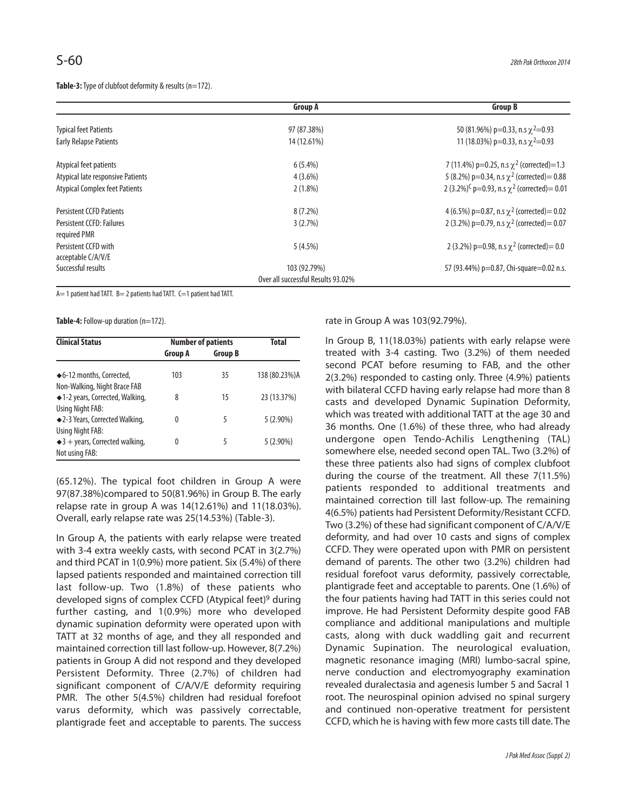**Table-3:**Type of clubfoot deformity & results (n=172).

|                                            | <b>Group A</b>                     | <b>Group B</b>                                                |
|--------------------------------------------|------------------------------------|---------------------------------------------------------------|
| <b>Typical feet Patients</b>               | 97 (87.38%)                        | 50 (81.96%) p=0.33, n.s $\chi^2$ =0.93                        |
| <b>Early Relapse Patients</b>              | 14 (12.61%)                        | 11 (18.03%) p=0.33, n.s $\gamma$ <sup>2</sup> =0.93           |
| Atypical feet patients                     | $6(5.4\%)$                         | 7 (11.4%) p=0.25, n.s $\chi^2$ (corrected)=1.3                |
| Atypical late responsive Patients          | $4(3.6\%)$                         | 5 (8.2%) p=0.34, n.s $\chi^2$ (corrected) = 0.88              |
| <b>Atypical Complex feet Patients</b>      | $2(1.8\%)$                         | 2 (3.2%) <sup>C</sup> p=0.93, n.s $\chi^2$ (corrected) = 0.01 |
| <b>Persistent CCFD Patients</b>            | $8(7.2\%)$                         | 4 (6.5%) p=0.87, n.s $\chi^2$ (corrected) = 0.02              |
| Persistent CCFD: Failures                  | 3(2.7%)                            | 2 (3.2%) p=0.79, n.s $\chi^2$ (corrected) = 0.07              |
| required PMR                               |                                    |                                                               |
| Persistent CCFD with<br>acceptable C/A/V/E | 5(4.5%)                            | 2 (3.2%) p=0.98, n.s $\chi^2$ (corrected) = 0.0               |
| Successful results                         | 103 (92.79%)                       | 57 (93.44%) p=0.87, Chi-square=0.02 n.s.                      |
|                                            | Over all successful Results 93.02% |                                                               |

A= 1 patient had TATT. B= 2 patients had TATT. C=1 patient had TATT.

Table-4: Follow-up duration (n=172).

| <b>Clinical Status</b>                                       | <b>Number of patients</b> |                | <b>Total</b>  |  |
|--------------------------------------------------------------|---------------------------|----------------|---------------|--|
|                                                              | Group A                   | <b>Group B</b> |               |  |
| ◆6-12 months, Corrected,<br>Non-Walking, Night Brace FAB     | 103                       | 35             | 138 (80.23%)A |  |
| ◆1-2 years, Corrected, Walking,<br>Using Night FAB:          | 8                         | 15             | 23 (13.37%)   |  |
| ◆2-3 Years, Corrected Walking,<br>Using Night FAB:           | 0                         | 5              | $5(2.90\%)$   |  |
| $\triangleq$ 3 + years, Corrected walking,<br>Not using FAB: | 0                         | 5              | $5(2.90\%)$   |  |

(65.12%). The typical foot children in Group A were 97(87.38%)compared to 50(81.96%) in Group B. The early relapse rate in group A was 14(12.61%) and 11(18.03%). Overall, early relapse rate was 25(14.53%) (Table-3).

In Group A, the patients with early relapse were treated with 3-4 extra weekly casts, with second PCAT in 3(2.7%) and third PCAT in 1(0.9%) more patient. Six (5.4%) of there lapsed patients responded and maintained correction till last follow-up. Two (1.8%) of these patients who developed signs of complex CCFD (Atypical feet)<sup>9</sup> during further casting, and 1(0.9%) more who developed dynamic supination deformity were operated upon with TATT at 32 months of age, and they all responded and maintained correction till last follow-up. However, 8(7.2%) patients in Group A did not respond and they developed Persistent Deformity. Three (2.7%) of children had significant component of C/A/V/E deformity requiring PMR. The other 5(4.5%) children had residual forefoot varus deformity, which was passively correctable, plantigrade feet and acceptable to parents. The success

rate in Group A was 103(92.79%).

In Group B, 11(18.03%) patients with early relapse were treated with 3-4 casting. Two (3.2%) of them needed second PCAT before resuming to FAB, and the other 2(3.2%) responded to casting only. Three (4.9%) patients with bilateral CCFD having early relapse had more than 8 casts and developed Dynamic Supination Deformity, which was treated with additional TATT at the age 30 and 36 months. One (1.6%) of these three, who had already undergone open Tendo-Achilis Lengthening (TAL) somewhere else, needed second open TAL. Two (3.2%) of these three patients also had signs of complex clubfoot during the course of the treatment. All these 7(11.5%) patients responded to additional treatments and maintained correction till last follow-up. The remaining 4(6.5%) patients had Persistent Deformity/Resistant CCFD. Two (3.2%) of these had significant component of C/A/V/E deformity, and had over 10 casts and signs of complex CCFD. They were operated upon with PMR on persistent demand of parents. The other two (3.2%) children had residual forefoot varus deformity, passively correctable, plantigrade feet and acceptable to parents. One (1.6%) of the four patients having had TATT in this series could not improve. He had Persistent Deformity despite good FAB compliance and additional manipulations and multiple casts, along with duck waddling gait and recurrent Dynamic Supination. The neurological evaluation, magnetic resonance imaging (MRI) lumbo-sacral spine, nerve conduction and electromyography examination revealed duralectasia and agenesis lumber 5 and Sacral 1 root. The neurospinal opinion advised no spinal surgery and continued non-operative treatment for persistent CCFD, which he is having with few more casts till date. The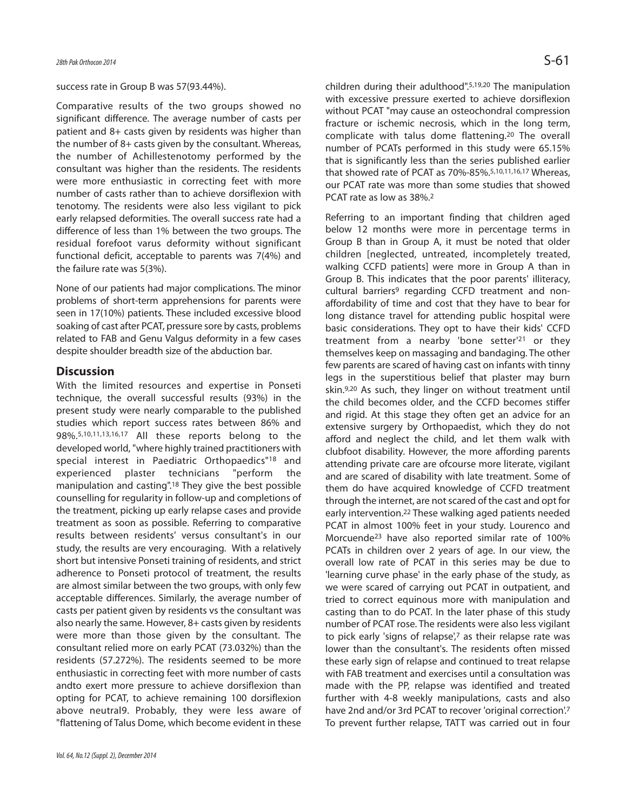#### success rate in Group B was 57(93.44%).

Comparative results of the two groups showed no significant difference. The average number of casts per patient and 8+ casts given by residents was higher than the number of 8+ casts given by the consultant. Whereas, the number of Achillestenotomy performed by the consultant was higher than the residents. The residents were more enthusiastic in correcting feet with more number of casts rather than to achieve dorsiflexion with tenotomy. The residents were also less vigilant to pick early relapsed deformities. The overall success rate had a difference of less than 1% between the two groups. The residual forefoot varus deformity without significant functional deficit, acceptable to parents was 7(4%) and the failure rate was 5(3%).

None of our patients had major complications. The minor problems of short-term apprehensions for parents were seen in 17(10%) patients. These included excessive blood soaking of cast after PCAT, pressure sore by casts, problems related to FAB and Genu Valgus deformity in a few cases despite shoulder breadth size of the abduction bar.

## **Discussion**

With the limited resources and expertise in Ponseti technique, the overall successful results (93%) in the present study were nearly comparable to the published studies which report success rates between 86% and 98%.5,10,11,13,16,17 All these reports belong to the developed world, "where highly trained practitioners with special interest in Paediatric Orthopaedics"<sup>18</sup> and experienced plaster technicians "perform the manipulation and casting".<sup>18</sup> They give the best possible counselling for regularity in follow-up and completions of the treatment, picking up early relapse cases and provide treatment as soon as possible. Referring to comparative results between residents' versus consultant's in our study, the results are very encouraging. With a relatively short but intensive Ponseti training of residents, and strict adherence to Ponseti protocol of treatment, the results are almost similar between the two groups, with only few acceptable differences. Similarly, the average number of casts per patient given by residents vs the consultant was also nearly the same. However, 8+ casts given by residents were more than those given by the consultant. The consultant relied more on early PCAT (73.032%) than the residents (57.272%). The residents seemed to be more enthusiastic in correcting feet with more number of casts andto exert more pressure to achieve dorsiflexion than opting for PCAT, to achieve remaining 100 dorsiflexion above neutral9. Probably, they were less aware of "flattening of Talus Dome, which become evident in these

children during their adulthood".5,19,20 The manipulation with excessive pressure exerted to achieve dorsiflexion without PCAT "may cause an osteochondral compression fracture or ischemic necrosis, which in the long term, complicate with talus dome flattening.<sup>20</sup> The overall number of PCATs performed in this study were 65.15% that is significantly less than the series published earlier that showed rate of PCAT as 70%-85%.5,10,11,16,17 Whereas, our PCAT rate was more than some studies that showed PCAT rate as low as 38%.<sup>2</sup>

Referring to an important finding that children aged below 12 months were more in percentage terms in Group B than in Group A, it must be noted that older children [neglected, untreated, incompletely treated, walking CCFD patients] were more in Group A than in Group B. This indicates that the poor parents' illiteracy, cultural barriers<sup>9</sup> regarding CCFD treatment and nonaffordability of time and cost that they have to bear for long distance travel for attending public hospital were basic considerations. They opt to have their kids' CCFD treatment from a nearby 'bone setter'<sup>21</sup> or they themselves keep on massaging and bandaging. The other few parents are scared of having cast on infants with tinny legs in the superstitious belief that plaster may burn skin.9,20 As such, they linger on without treatment until the child becomes older, and the CCFD becomes stiffer and rigid. At this stage they often get an advice for an extensive surgery by Orthopaedist, which they do not afford and neglect the child, and let them walk with clubfoot disability. However, the more affording parents attending private care are ofcourse more literate, vigilant and are scared of disability with late treatment. Some of them do have acquired knowledge of CCFD treatment through the internet, are not scared of the cast and opt for early intervention.<sup>22</sup> These walking aged patients needed PCAT in almost 100% feet in your study. Lourenco and Morcuende<sup>23</sup> have also reported similar rate of 100% PCATs in children over 2 years of age. In our view, the overall low rate of PCAT in this series may be due to 'learning curve phase' in the early phase of the study, as we were scared of carrying out PCAT in outpatient, and tried to correct equinous more with manipulation and casting than to do PCAT. In the later phase of this study number of PCAT rose. The residents were also less vigilant to pick early 'signs of relapse',7 as their relapse rate was lower than the consultant's. The residents often missed these early sign of relapse and continued to treat relapse with FAB treatment and exercises until a consultation was made with the PP, relapse was identified and treated further with 4-8 weekly manipulations, casts and also have 2nd and/or 3rd PCAT to recover 'original correction'.<sup>7</sup> To prevent further relapse, TATT was carried out in four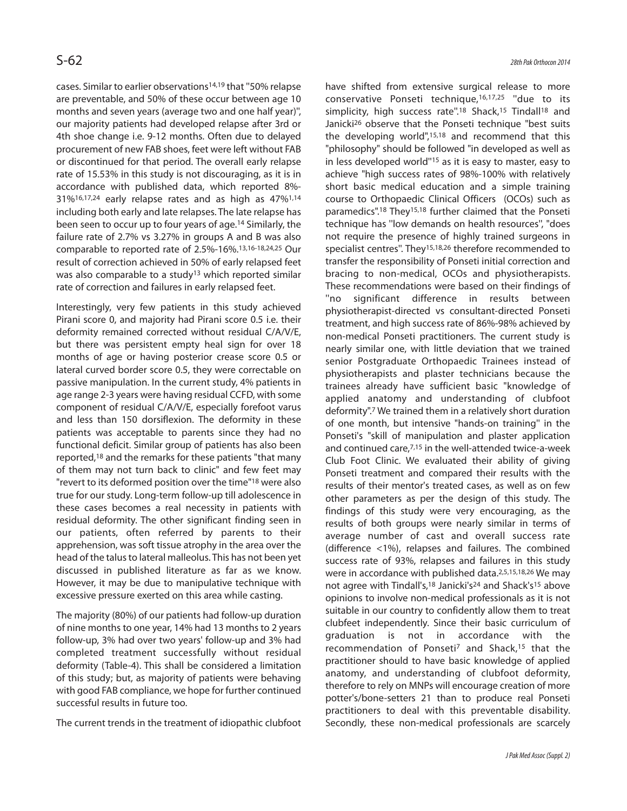cases. Similar to earlier observations14,19 that ''50% relapse are preventable, and 50% of these occur between age 10 months and seven years (average two and one half year)'', our majority patients had developed relapse after 3rd or 4th shoe change i.e. 9-12 months. Often due to delayed procurement of new FAB shoes, feet were left without FAB or discontinued for that period. The overall early relapse rate of 15.53% in this study is not discouraging, as it is in accordance with published data, which reported 8%- 31%16,17,24 early relapse rates and as high as 47%1,14 including both early and late relapses. The late relapse has been seen to occur up to four years of age.<sup>14</sup> Similarly, the failure rate of 2.7% vs 3.27% in groups A and B was also comparable to reported rate of 2.5%-16%.13,16-18,24,25 Our result of correction achieved in 50% of early relapsed feet was also comparable to a study<sup>13</sup> which reported similar rate of correction and failures in early relapsed feet.

Interestingly, very few patients in this study achieved Pirani score 0, and majority had Pirani score 0.5 i.e. their deformity remained corrected without residual C/A/V/E, but there was persistent empty heal sign for over 18 months of age or having posterior crease score 0.5 or lateral curved border score 0.5, they were correctable on passive manipulation. In the current study, 4% patients in age range 2-3 years were having residual CCFD, with some component of residual C/A/V/E, especially forefoot varus and less than 150 dorsiflexion. The deformity in these patients was acceptable to parents since they had no functional deficit. Similar group of patients has also been reported,<sup>18</sup> and the remarks for these patients "that many of them may not turn back to clinic" and few feet may "revert to its deformed position over the time"<sup>18</sup> were also true for our study. Long-term follow-up till adolescence in these cases becomes a real necessity in patients with residual deformity. The other significant finding seen in our patients, often referred by parents to their apprehension, was soft tissue atrophy in the area over the head of the talus to lateral malleolus. This has not been yet discussed in published literature as far as we know. However, it may be due to manipulative technique with excessive pressure exerted on this area while casting.

The majority (80%) of our patients had follow-up duration of nine months to one year, 14% had 13 months to 2 years follow-up, 3% had over two years' follow-up and 3% had completed treatment successfully without residual deformity (Table-4). This shall be considered a limitation of this study; but, as majority of patients were behaving with good FAB compliance, we hope for further continued successful results in future too.

The current trends in the treatment of idiopathic clubfoot

have shifted from extensive surgical release to more conservative Ponseti technique,16,17,25 ''due to its simplicity, high success rate".<sup>18</sup> Shack,<sup>15</sup> Tindall<sup>18</sup> and Janicki<sup>26</sup> observe that the Ponseti technique "best suits the developing world",15,18 and recommend that this "philosophy" should be followed "in developed as well as in less developed world''<sup>15</sup> as it is easy to master, easy to achieve "high success rates of 98%-100% with relatively short basic medical education and a simple training course to Orthopaedic Clinical Officers (OCOs) such as paramedics".<sup>18</sup> They15,18 further claimed that the Ponseti technique has ''low demands on health resources'', "does not require the presence of highly trained surgeons in specialist centres". They<sup>15,18,26</sup> therefore recommended to transfer the responsibility of Ponseti initial correction and bracing to non-medical, OCOs and physiotherapists. These recommendations were based on their findings of ''no significant difference in results between physiotherapist-directed vs consultant-directed Ponseti treatment, and high success rate of 86%-98% achieved by non-medical Ponseti practitioners. The current study is nearly similar one, with little deviation that we trained senior Postgraduate Orthopaedic Trainees instead of physiotherapists and plaster technicians because the trainees already have sufficient basic "knowledge of applied anatomy and understanding of clubfoot deformity".<sup>7</sup> We trained them in a relatively short duration of one month, but intensive "hands-on training'' in the Ponseti's "skill of manipulation and plaster application and continued care,7,15 in the well-attended twice-a-week Club Foot Clinic. We evaluated their ability of giving Ponseti treatment and compared their results with the results of their mentor's treated cases, as well as on few other parameters as per the design of this study. The findings of this study were very encouraging, as the results of both groups were nearly similar in terms of average number of cast and overall success rate (difference <1%), relapses and failures. The combined success rate of 93%, relapses and failures in this study were in accordance with published data.<sup>2,5,15,18,26</sup> We may not agree with Tindall's,<sup>18</sup> Janicki's<sup>24</sup> and Shack's<sup>15</sup> above opinions to involve non-medical professionals as it is not suitable in our country to confidently allow them to treat clubfeet independently. Since their basic curriculum of graduation is not in accordance with the recommendation of Ponseti<sup>7</sup> and Shack,<sup>15</sup> that the practitioner should to have basic knowledge of applied anatomy, and understanding of clubfoot deformity, therefore to rely on MNPs will encourage creation of more potter's/bone-setters 21 than to produce real Ponseti practitioners to deal with this preventable disability. Secondly, these non-medical professionals are scarcely